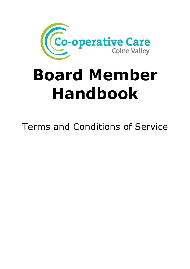

# Board Member Handbook

Terms and Conditions of Service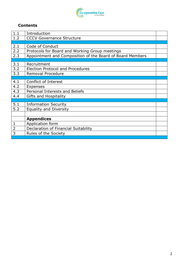

## Contents

| 1.1            | Introduction                                              |  |
|----------------|-----------------------------------------------------------|--|
| 1.2            | <b>CCCV Governance Structure</b>                          |  |
|                |                                                           |  |
| 2.1            | Code of Conduct                                           |  |
| 2.2            | Protocols for Board and Working Group meetings            |  |
| 2.3            | Appointment and Composition of the Board of Board Members |  |
|                |                                                           |  |
| 3.1            | Recruitment                                               |  |
| 3.2            | <b>Election Protocol and Procedures</b>                   |  |
| 3.3            | Removal Procedure                                         |  |
|                |                                                           |  |
| 4.1            | Conflict of Interest                                      |  |
| 4.2            | <b>Expenses</b>                                           |  |
| 4.3            | <b>Personal Interests and Beliefs</b>                     |  |
| 4.4            | Gifts and Hospitality                                     |  |
|                |                                                           |  |
| 5.1            | <b>Information Security</b>                               |  |
| 5.2            | <b>Equality and Diversity</b>                             |  |
|                |                                                           |  |
|                | <b>Appendices</b>                                         |  |
| 1              | Application form                                          |  |
| $\overline{2}$ | Declaration of Financial Suitability                      |  |
| 3              | Rules of the Society                                      |  |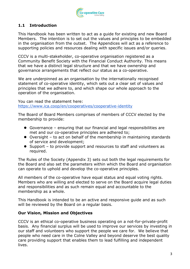

# 1.1 Introduction

This Handbook has been written to act as a guide for existing and new Board Members. The intention is to set out the values and principles to be embedded in the organisation from the outset. The Appendices will act as a reference to supporting policies and resources dealing with specific issues and/or queries.

CCCV is a multi-stakeholder, co-operative organisation registered as a Community Benefit Society with the Financial Conduct Authority. This means that we have a distinct legal structure and that we have ownership and governance arrangements that reflect our status as a co-operative.

We are underpinned as an organisation by the internationally recognised statement of co-operative identity, which sets out a clear set of values and principles that we adhere to, and which shape our whole approach to the operation of the organisation.

You can read the statement here: https://www.ica.coop/en/cooperatives/cooperative-identity

The Board of Board Members comprises of members of CCCV elected by the membership to provide:

- Governance ensuring that our financial and legal responsibilities are met and our co-operative principles are adhered to;
- Oversight to act on behalf of the membership in maintaining standards of service and development;
- Support to provide support and resources to staff and volunteers as required.

The Rules of the Society (Appendix 3) sets out both the legal requirements for the Board and also set the parameters within which the Board and organisation can operate to uphold and develop the co-operative principles.

All members of the co-operative have equal status and equal voting rights. Members who are willing and elected to serve on the Board acquire legal duties and responsibilities and as such remain equal and accountable to the membership as a whole.

This Handbook is intended to be an active and responsive guide and as such will be reviewed by the Board on a regular basis.

## Our Vision, Mission and Objectives

CCCV is an ethical co-operative business operating on a not-for-private-profit basis. Any financial surplus will be used to improve our services by investing in our staff and volunteers who support the people we care for. We believe that people who need care in the Colne Valley and beyond deserve the best quality care providing support that enables them to lead fulfilling and independent lives.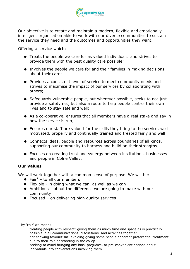

Our objective is to create and maintain a modern, flexible and emotionally intelligent organisation able to work with our diverse communities to sustain the service they need and the outcomes and opportunities they want.

Offering a service which:

- Treats the people we care for as valued individuals and strives to provide them with the best quality care possible;
- Involves the people we care for and their families in making decisions about their care;
- Provides a consistent level of service to meet community needs and strives to maximise the impact of our services by collaborating with others;
- Safeguards vulnerable people, but wherever possible, seeks to not just provide a safety net, but also a route to help people control their own lives and to stay safe and well;
- As a co-operative, ensures that all members have a real stake and say in how the service is run;
- Ensures our staff are valued for the skills they bring to the service, well motivated, properly and continually trained and treated fairly and well;
- Connects ideas, people and resources across boundaries of all kinds, supporting our community to harness and build on their strengths;
- Focuses on creating trust and synergy between institutions, businesses and people in Colne Valley.

## Our Values

We will work together with a common sense of purpose. We will be:

- Fair<sup>1</sup> to all our members
- Flexible in doing what we can, as well as we can
- Ambitious about the difference we are going to make with our community
- Focused on delivering high quality services

1 by 'Fair' we mean:

- treating people with respect: giving them as much time and space as is practically possible in all communications, discussions, and activities together
- not showing favouritism: avoiding giving some people apparent preferential treatment due to their role or standing in the co-op
- seeking to avoid bringing any bias, prejudice, or pre-convenient notions about individuals into conversations involving them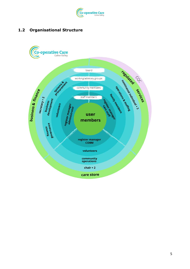

# 1.2 Organisational Structure

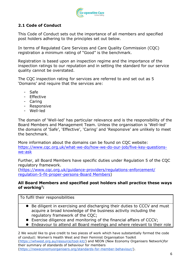

# 2.1 Code of Conduct

This Code of Conduct sets out the importance of all members and specified post holders adhering to the principles set out below.

In terms of Regulated Care Services and Care Quality Commission (CQC) registration a minimum rating of "Good" is the benchmark.

Registration is based upon an inspection regime and the importance of the inspection ratings to our reputation and in setting the standard for our service quality cannot be overstated.

The CQC inspection rating for services are referred to and set out as 5 'Domains' and require that the services are:

- Safe
- Effective
- Caring
- Responsive
- Well-led

The domain of 'Well-led' has particular relevance and is the responsibility of the Board Members and Management Team. Unless the organisation is 'Well-led' the domains of 'Safe', 'Effective', 'Caring' and 'Responsive' are unlikely to meet the benchmark.

More information about the domains can be found on CQC website: https://www.cqc.org.uk/what-we-do/how-we-do-our-job/five-key-questionswe-ask

Further, all Board Members have specific duties under Regulation 5 of the CQC regulatory framework.

(https://www.cqc.org.uk/guidance-providers/regulations-enforcement/ regulation-5-fit-proper-persons-Board Members)

#### All Board Members and specified post holders shall practice these ways of working<sup>2</sup>:

To fulfil their responsibilities

- Be diligent in exercising and discharging their duties to CCCV and must acquire a broad knowledge of the business activity including the regulatory framework of the CQC;
- Exercise diligence and monitoring of the financial affairs of CCCV;
- Endeavour to attend all Board meetings and where relevant to their role

2 We would like to give credit to two pieces of work which have substantially formed the code of conduct: Women's Health West and their Feminist Organisation Toolkit (https://whwest.org.au/resource/tool-kit/) and NEON (New Economy Organisers Network)for their summary of standards of behaviour for members (https://neweconomyorganisers.org/standards-for-member-behaviour/).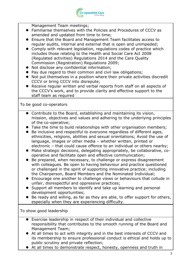

Management Team meetings;

- Familiarise themselves with the Policies and Procedures of CCCV as amended and updated from time to time;
- Ensure that the Board and Management Team facilitates access to regular audits, internal and external that is open and unimpeded;
- Comply with relevant legislation, regulations codes of practice which includes those relating to the Health and Social Care Act 2008 (Regulated activities) Regulations 2014 and the Care Quality Commission (Registration) Regulations 2009;
- Not disclose any confidential information;
- Pay due regard to their common and civil law obligations;
- Not put themselves in a position where their private activities discredit CCCV or bring CCCV into disrepute;
- Receive regular written and verbal reports from staff on all aspects of the CCCV's work, and to provide clarity and effective support to the staff team as required

To be good co-operators

- Contribute to the Board, establishing and maintaining its vision, mission, objectives and values and adhering to the underlying principles of the co-operative;
- Take the time to build relationships with other organisation members;
- Be inclusive and respectful to everyone regardless of different ages, ethnicities, religions, abilities and sexual orientations; Avoid the use of language, images or other media – whether written, printed or electronic – that could cause offence to an individual or others nearby;
- Make strategic decisions, delegating appropriately, be collaborative, cooperative and facilitate open and effective communication;
- Be prepared, when necessary, to challenge or express disagreement with colleagues. Be open to having behaviour and practice questioned or challenged in the spirit of supporting innovative practice; including the Chairperson, Board Members and the Nominated Individual;
- Encourage one another to challenge views or behaviours that collude in unfair, disrespectful and oppressive practices;
- Support all members to identify and take up learning and personal development opportunities;
- Be ready and willing, as far as they are able, to offer support for others, especially when they are experiencing difficulty.

To show good leadership

- Exercise leadership in respect of their individual and collective responsibility that contributes to the smooth running of the Board and Management Team;
- At all times to act with integrity and in the best interests of CCCV and its membership to ensure professional conduct is ethical and holds up to public scrutiny and private reflection;
- At all times to demonstrate respect, honesty, openness and truth in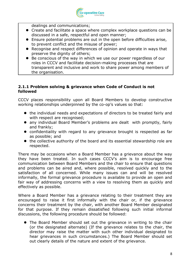

dealings and communications;

- Create and facilitate a space where complex workplace questions can be discussed in a safe, respectful and open manner;
- Ensure potential problems are out in the open before difficulties arise, to prevent conflict and the misuse of power;
- Recognise and respect differences of opinion and operate in ways that preserve the dignity of others;
- Be conscious of the way in which we use our power regardless of our roles in CCCV and facilitate decision-making processes that are transparent and inclusive and work to share power among members of the organisation.

#### 2.1.1 Problem solving & grievance when Code of Conduct is not followed

CCCV places responsibility upon all Board Members to develop constructive working relationships underpinned by the co-op's values so that:

- the individual needs and expectations of directors to be treated fairly and with respect are recognised:
- any individual Board Member's problems are dealt with promptly, fairly and frankly;
- confidentiality with regard to any grievance brought is respected as far as possible; and
- the collective authority of the board and its essential stewardship role are respected.

There may be occasions when a Board Member has a grievance about the way they have been treated. In such cases CCCV's aim is to encourage free communication between Board Members and the chair to ensure that questions and problems can be aired and, where possible, resolved quickly and to the satisfaction of all concerned. While many issues can and will be resolved informally, the formal grievance procedure is available to provide an open and fair way of addressing concerns with a view to resolving them as quickly and effectively as possible.

Where a Board Member has a grievance relating to their treatment they are encouraged to raise it first informally with the chair or, if the grievance concerns their treatment by the chair, with another Board Member designated for that purpose. If they remain dissatisfied following such initial informal discussions, the following procedure should be followed:

 The Board Member should set out the grievance in writing to the chair (or the designated alternate) (If the grievance relates to the chair, the director may raise the matter with such other individual designated to hear grievances in such circumstances.) The Board Member should set out clearly details of the nature and extent of the grievance.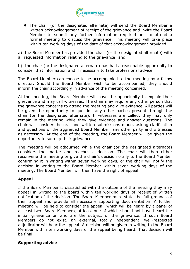

 The chair (or the designated alternate) will send the Board Member a written acknowledgement of receipt of the grievance and invite the Board Member to submit any further information required and to attend a formal meeting to discuss the grievance. This meeting will take place within ten working days of the date of that acknowledgement provided:

a) the Board Member has provided the chair (or the designated alternate) with all requested information relating to the grievance; and

b) the chair (or the designated alternate) has had a reasonable opportunity to consider that information and if necessary to take professional advice.

The Board Member can choose to be accompanied to the meeting by a fellow director. Should the Board Member wish to be accompanied, they should inform the chair accordingly in advance of the meeting concerned.

At the meeting, the Board Member will have the opportunity to explain their grievance and may call witnesses. The chair may require any other person that the grievance concerns to attend the meeting and give evidence. All parties will be given the opportunity to question any other parties present through the chair (or the designated alternate). If witnesses are called, they may only remain in the meeting while they give evidence and answer questions. The chair will consider the oral and written submissions made, asking clarification and questions of the aggrieved Board Member, any other party and witnesses as necessary. At the end of the meeting, the Board Member will be given the opportunity to sum up their grievance.

The meeting will be adjourned while the chair (or the designated alternate) considers the matter and reaches a decision. The chair will then either reconvene the meeting or give the chair's decision orally to the Board Member confirming it in writing within seven working days, or the chair will notify the decision in writing to the Board Member within seven working days of the meeting. The Board Member will then have the right of appeal.

# Appeal

If the Board Member is dissatisfied with the outcome of the meeting they may appeal in writing to the board within ten working days of receipt of written notification of the decision. The Board Member must state the full grounds of their appeal and provide all necessary supporting documentation. A further meeting will be held to consider the appeal, which will be heard by a panel of at least two Board Members, at least one of which should not have heard the initial grievance or who are the subject of the grievance. If such Board Members do not exist, an external, totally independent, well-respected adjudicator will hear the appeal. A decision will be given in writing to the Board Member within ten working days of the appeal being heard. That decision will be final.

## Supporting advice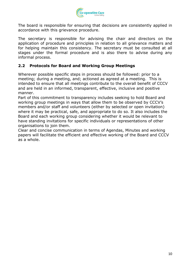

The board is responsible for ensuring that decisions are consistently applied in accordance with this grievance procedure.

The secretary is responsible for advising the chair and directors on the application of procedure and principles in relation to all grievance matters and for helping maintain this consistency. The secretary must be consulted at all stages under the formal procedure and is also there to advise during any informal process.

## 2.2 Protocols for Board and Working Group Meetings

Wherever possible specific steps in process should be followed: prior to a meeting; during a meeting, and; actioned as agreed at a meeting. This is intended to ensure that all meetings contribute to the overall benefit of CCCV and are held in an informed, transparent, effective, inclusive and positive manner.

Part of this commitment to transparency includes seeking to hold Board and working group meetings in ways that allow them to be observed by CCCV's members and/or staff and volunteers (either by selected or open invitation) where it may be practical, safe, and appropriate to do so. It also includes the Board and each working group considering whether it would be relevant to have standing invitations for specific individuals or representations of other organisations to join them.

Clear and concise communication in terms of Agendas, Minutes and working papers will facilitate the efficient and effective working of the Board and CCCV as a whole.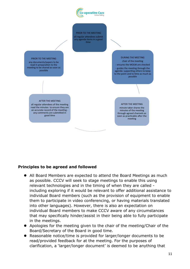



#### Principles to be agreed and followed

- All Board Members are expected to attend the Board Meetings as much as possible. CCCV will seek to stage meetings to enable this using relevant technologies and in the timing of when they are called including exploring if it would be relevant to offer additional assistance to individual Board members (such as the provision of equipment to enable them to participate in video conferencing, or having materials translated into other languages). However, there is also an expectation on individual Board members to make CCCV aware of any circumstances that may specifically hinder/assist in their being able to fully participate in the meetings.
- Apologies for the meeting given to the chair of the meeting/Chair of the Board/Secretary of the Board in good time.
- Reasonable notice/time is provided for larger/longer documents to be read/provided feedback for at the meeting. For the purposes of clarification, a 'larger/longer document' is deemed to be anything that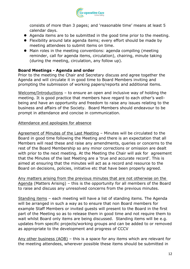

consists of more than 3 pages; and 'reasonable time' means at least 5 calendar days.

- Agenda items are to be submitted in the good time prior to the meeting.
- Flexibility around late agenda items; every effort should be made by meeting attendees to submit items on time.
- Main roles in the meeting conventions: agenda compiling (meeting reminder, call for agenda items, circulation), chairing, minute taking (during the meeting, circulation, any follow up).

## Board Meetings - Agenda and order

Prior to the meeting the Chair and Secretary discuss and agree together the Agenda and will circulate it in good time to Board Members inviting and prompting the submission of working papers/reports and additional items.

Welcome/Introductions - to ensure an open and inclusive way of holding the meeting. It is good practice that members have regard to each other's wellbeing and have an opportunity and freedom to raise any issues relating to the business and affairs of the Society. Board Members should endeavour to be prompt in attendance and concise in communication.

#### Attendance and apologies for absence

Agreement of Minutes of the Last Meeting – Minutes will be circulated to the Board in good time following the Meeting and there is an expectation that all Members will read these and raise any amendments, queries or concerns to the rest of the Board Membership so any minor corrections or omission are dealt with prior to the next meeting. At the Meeting the Chair will ask for agreement that the Minutes of the last Meeting are a 'true and accurate record'. This is aimed at ensuring that the minutes will act as a record and resource to the Board on decisions, policies, initiative etc that have been properly agreed.

Any matters arising from the previous minutes that are not otherwise on the Agenda (Matters Arising) – this is the opportunity for all members of the Board to raise and discuss any unresolved concerns from the previous minutes.

Standing items – each meeting will have a list of standing items. The Agenda will be arranged in such a way as to ensure that non Board members for example Staff Members or invited guests will present to the Board in the first part of the Meeting so as to release them in good time and not require them to wait whilst Board only items are being discussed. Standing items will be e.g. updates from specific projects/working groups and can be added to or removed as appropriate to the development and progress of CCCV

Any other business (AOB) – this is a space for any items which are relevant for the meeting attendees, wherever possible these items should be submitted in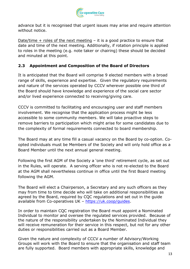

advance but it is recognised that urgent issues may arise and require attention without notice.

Date/time  $+$  roles of the next meeting  $-$  it is a good practice to ensure that date and time of the next meeting. Additionally, if rotation principle is applied to roles in the meeting (e.g. note taker or chairing) these should be decided and minuted at this point.

# 2.3 Appointment and Composition of the Board of Directors

It is anticipated that the Board will comprise 9 elected members with a broad range of skills, experience and expertise. Given the regulatory requirements and nature of the services operated by CCCV wherever possible one third of the Board should have knowledge and experience of the social care sector and/or lived experience connected to receiving/giving care.

CCCV is committed to facilitating and encouraging user and staff members involvement. We recognise that the application process might be less accessible to some community members. We will take proactive steps to remove barriers to participation which might arise for some candidates due to the complexity of formal requirements connected to board membership.

The Board may at any time fill a casual vacancy on the Board by co-option. Coopted individuals must be Members of the Society and will only hold office as a Board Member until the next annual general meeting.

Following the first AGM of the Society a 'one third' retirement cycle, as set out in the Rules, will operate. A serving officer who is not re-elected to the Board at the AGM shall nevertheless continue in office until the first Board meeting following the AGM.

The Board will elect a Chairperson, a Secretary and any such officers as they may from time to time decide who will take on additional responsibilities as agreed by the Board, required by CQC regulations and set out in the guide available from Co-operatives UK – https://uk.coop/guides.

In order to maintain CQC registration the Board must appoint a Nominated Individual to monitor and oversee the regulated services provided. Because of the nature of the responsibility undertaken by the Nominated Individual they will receive remuneration for their service in this respect, but not for any other duties or responsibilities carried out as a Board Member.

Given the nature and complexity of CCCV a number of Advisory/Working Groups will work with the Board to ensure that the organisation and staff team are fully supported. Board members with appropriate skills, knowledge and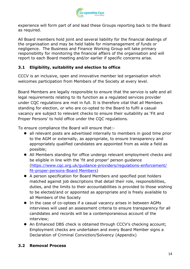

experience will form part of and lead these Groups reporting back to the Board as required.

All Board members hold joint and several liability for the financial dealings of the organisation and may be held liable for mismanagement of funds or negligence. The Business and Finance Working Group will take primary responsibility for monitoring the financial affairs of the organisation and will report to each Board meeting and/or earlier if specific concerns arise.

# 3.1 Eligibility, suitability and election to office

CCCV is an inclusive, open and innovative member led organisation which welcomes participation from Members of the Society at every level.

Board Members are legally responsible to ensure that the service is safe and all legal requirements relating to its function as a regulated services provider under CQC regulations are met in full. It is therefore vital that all Members standing for election, or who are co-opted to the Board to fulfil a casual vacancy are subject to relevant checks to ensure their suitability as 'Fit and Proper Persons' to hold office under the CQC regulations.

To ensure compliance the Board will ensure that:-

- all relevant posts are advertised internally to members in good time prior to the AGM or externally, as appropriate, to ensure transparency and appropriately qualified candidates are appointed from as wide a field as possible;
- All Members standing for office undergo relevant employment checks and be eligible in line with the 'fit and proper' person guidance (https://www.cqc.org.uk/guidance-providers/regulations-enforcement/ fit-proper-persons-Board Members)
- A person specification for Board Members and specified post holders matched against job descriptions that detail their role, responsibilities, duties, and the limits to their accountabilities is provided to those wishing to be elected/and or appointed as appropriate and is freely available to all Members of the Society
- In the case of co-optees if a casual vacancy arises in between AGMs interviews will used an assessment criteria to ensure transparency for all candidates and records will be a contemporaneous account of the interview;
- An Enhanced DBS check is obtained through CCCV's checking account; Employment checks are undertaken and every Board Member signs a Declaration of Criminal Conviction/Solvency (Appendix)

## 3.2 Removal Process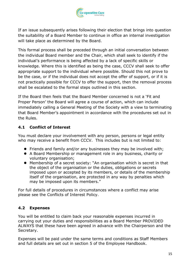

If an issue subsequently arises following their election that brings into question the suitability of a Board Member to continue in office an internal investigation will take place as determined by the Board.

This formal process shall be preceded through an initial conversation between the individual Board member and the Chair, which shall seek to identify if the individual's performance is being affected by a lack of specific skills or knowledge. Where this is identified as being the case, CCCV shall seek to offer appropriate support to the individual where possible. Should this not prove to be the case, or if the individual does not accept the offer of support, or if it is not practically possible for CCCV to offer the support, then the removal process shall be escalated to the formal steps outlined in this section.

If the Board then feels that the Board Member concerned is not a 'Fit and Proper Person' the Board will agree a course of action, which can include immediately calling a General Meeting of the Society with a view to terminating that Board Member's appointment in accordance with the procedures set out in the Rules.

# 4.1 Conflict of Interest

You must declare your involvement with any person, persons or legal entity who may receive a benefit from CCCV. This includes but is not limited to:

- **•** Friends and family and/or any businesses they may be involved with;
- A Board Membership or management role in any business, charity or voluntary organisation;
- Membership of a secret society: "An organisation which is secret in that the object of the organisation or the duties, obligations or secrets imposed upon or accepted by its members, or details of the membership itself of the organisation, are protected in any way by penalties which may be imposed upon its members."

For full details of procedures in circumstances where a conflict may arise please see the Conflicts of Interest Policy.

# 4.2 Expenses

You will be entitled to claim back your reasonable expenses incurred in carrying out your duties and responsibilities as a Board Member PROVIDED ALWAYS that these have been agreed in advance with the Chairperson and the Secretary.

Expenses will be paid under the same terms and conditions as Staff Members and full details are set out in section 5 of the Employee Handbook.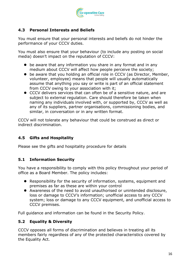

# 4.3 Personal Interests and Beliefs

You must ensure that your personal interests and beliefs do not hinder the performance of your CCCV duties.

You must also ensure that your behaviour (to include any posting on social media) doesn't impact on the reputation of CCCV:

- be aware that any information you share in any format and in any medium about CCCV will affect how people perceive the society;
- be aware that you holding an official role in CCCV (as Director, Member, volunteer, employee) means that people will usually automatically assume that anything you say or write is part of an official statement from CCCV owing to your association with it;
- CCCV delivers services that can often be of a sensitive nature, and are subject to external regulation. Care should therefore be taken when naming any individuals involved with, or supported by, CCCV as well as any of its suppliers, partner organisations, commissioning bodies, and similar, in conversation or in any written format.

CCCV will not tolerate any behaviour that could be construed as direct or indirect discrimination.

# 4.5 Gifts and Hospitality

Please see the gifts and hospitality procedure for details

# 5.1 Information Security

You have a responsibility to comply with this policy throughout your period of office as a Board Member. The policy includes:

- Responsibility for the security of information, systems, equipment and premises as far as these are within your control
- Awareness of the need to avoid unauthorised or unintended disclosure, loss or damage to CCCV's information; unofficial access to any CCCV system; loss or damage to any CCCV equipment, and unofficial access to CCCV premises.

Full guidance and information can be found in the Security Policy.

## 5.2 Equality & Diversity

CCCV opposes all forms of discrimination and believes in treating all its members fairly regardless of any of the protected characteristics covered by the Equality Act.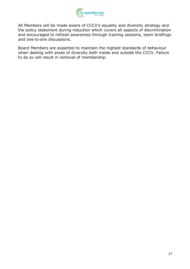

All Members will be made aware of CCCV's equality and diversity strategy and the policy statement during induction which covers all aspects of discrimination and encouraged to refresh awareness through training sessions, team briefings and one-to-one discussions.

Board Members are expected to maintain the highest standards of behaviour when dealing with areas of diversity both inside and outside the CCCV. Failure to do so will result in removal of membership.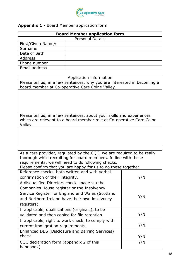

#### Appendix 1 - Board Member application form

| <b>Board Member application form</b> |  |  |  |
|--------------------------------------|--|--|--|
| <b>Personal Details</b>              |  |  |  |
| First/Given Name/s                   |  |  |  |
| Surname                              |  |  |  |
| Date of Birth                        |  |  |  |
| Address                              |  |  |  |
| Phone number                         |  |  |  |
| Email address                        |  |  |  |

#### Application information

Please tell us, in a few sentences, why you are interested in becoming a board member at Co-operative Care Colne Valley.

Please tell us, in a few sentences, about your skills and experiences which are relevant to a board member role at Co-operative Care Colne Valley.

| As a care provider, regulated by the CQC, we are required to be really<br>thorough while recruiting for board members. In line with these<br>requirements, we will need to do following checks.<br>Please confirm that you are happy for us to do these together. |     |  |
|-------------------------------------------------------------------------------------------------------------------------------------------------------------------------------------------------------------------------------------------------------------------|-----|--|
| Reference checks, both written and with verbal                                                                                                                                                                                                                    |     |  |
| confirmation of their integrity.                                                                                                                                                                                                                                  | Y/N |  |
| A disqualified Directors check, made via the                                                                                                                                                                                                                      |     |  |
| Companies House register or the Insolvency                                                                                                                                                                                                                        |     |  |
| Service Register for England and Wales (Scotland                                                                                                                                                                                                                  |     |  |
| and Northern Ireland have their own insolvency                                                                                                                                                                                                                    | Y/N |  |
| registers).                                                                                                                                                                                                                                                       |     |  |
| If applicable, qualifications (originals), to be                                                                                                                                                                                                                  |     |  |
| validated and then copied for file retention.                                                                                                                                                                                                                     | Y/N |  |
| If applicable, right to work check, to comply with                                                                                                                                                                                                                |     |  |
| current immigration requirements.                                                                                                                                                                                                                                 | Y/N |  |
| Enhanced DBS (Disclosure and Barring Services)                                                                                                                                                                                                                    |     |  |
| check                                                                                                                                                                                                                                                             | Y/N |  |
| CQC declaration form (appendix 2 of this<br>handbook)                                                                                                                                                                                                             | Y/N |  |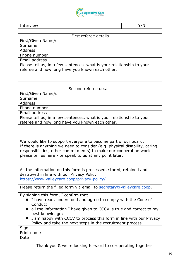

# Interview Y/N

| First referee details                                                 |  |  |  |
|-----------------------------------------------------------------------|--|--|--|
| First/Given Name/s                                                    |  |  |  |
| Surname                                                               |  |  |  |
| <b>Address</b>                                                        |  |  |  |
| Phone number                                                          |  |  |  |
| Email address                                                         |  |  |  |
| Please tell us, in a few sentences, what is your relationship to your |  |  |  |
| referee and how long have you known each other.                       |  |  |  |
|                                                                       |  |  |  |

| Second referee details                                                |  |  |  |
|-----------------------------------------------------------------------|--|--|--|
| First/Given Name/s                                                    |  |  |  |
| Surname                                                               |  |  |  |
| <b>Address</b>                                                        |  |  |  |
| Phone number                                                          |  |  |  |
| Email address                                                         |  |  |  |
| Please tell us, in a few sentences, what is your relationship to your |  |  |  |
| referee and how long have you known each other.                       |  |  |  |
|                                                                       |  |  |  |

We would like to support everyone to become part of our board. If there is anything we need to consider (e.g. physical disability, caring responsibilities, other commitments) to make our cooperation work please tell us here - or speak to us at any point later.

All the information on this form is processed, stored, retained and destroyed in line with our Privacy Policy https://www.valleycare.coop/privacy-policy/

Please return the filled form via email to secretary@valleycare.coop.

By signing this form, I confirm that

- I have read, understood and agree to comply with the Code of Conduct;
- all the information I have given to CCCV is true and correct to my best knowledge;
- I am happy with CCCV to process this form in line with our Privacy Policy and take the next steps in the recruitment process.

| Sign       |  |
|------------|--|
| Print name |  |
| Date       |  |
|            |  |

Thank you & we're looking forward to co-operating together!